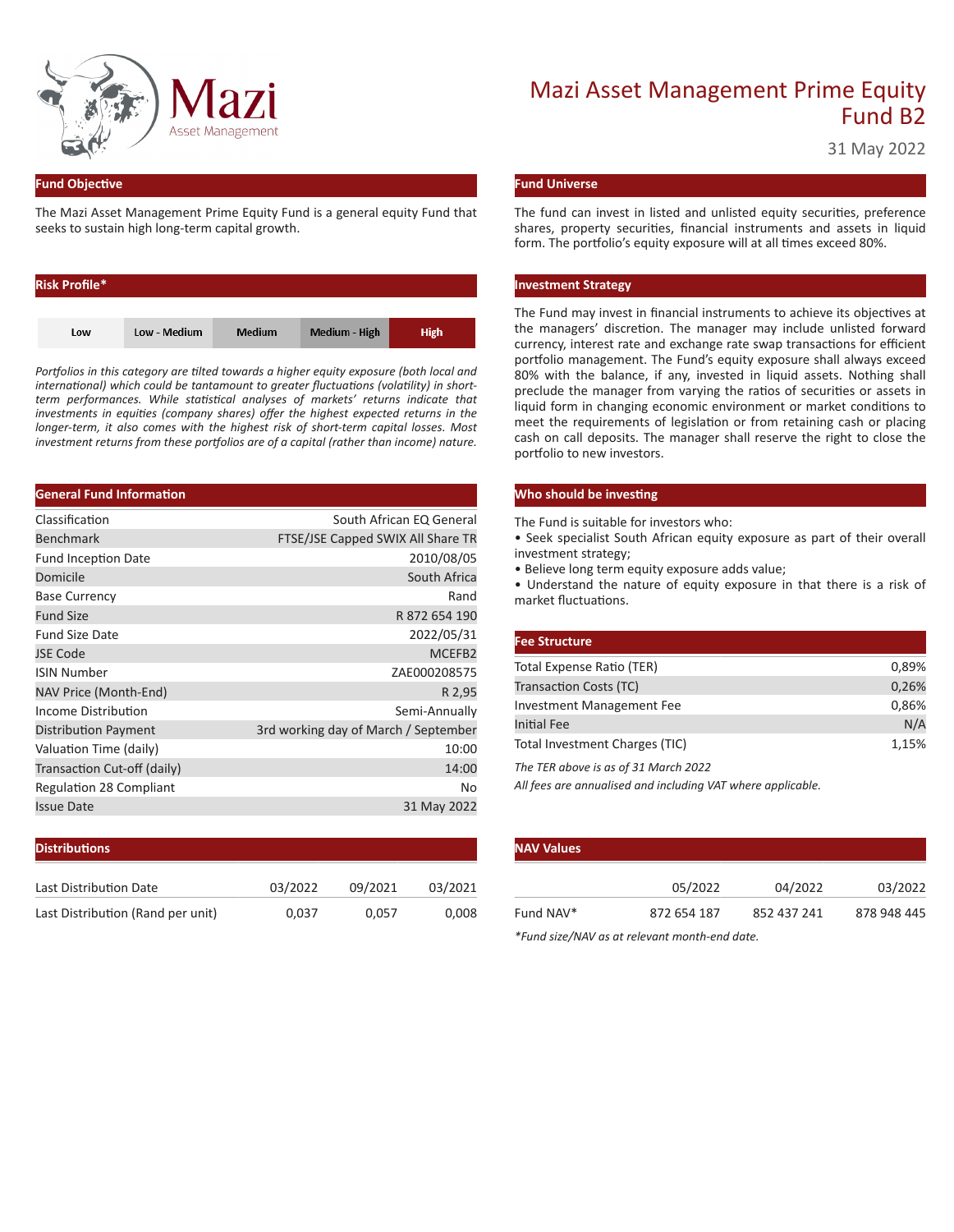

#### **Fund Objective**

The Mazi Asset Management Prime Equity Fund is a general equity Fund that seeks to sustain high long-term capital growth.

| <b>Risk Profile*</b> |              |               |               |             |
|----------------------|--------------|---------------|---------------|-------------|
|                      |              |               |               |             |
| Low                  | Low - Medium | <b>Medium</b> | Medium - High | <b>High</b> |

*Portfolios in this category are tilted towards a higher equity exposure (both local and international) which could be tantamount to greater fluctuations (volatility) in shortterm performances. While statistical analyses of markets' returns indicate that investments in equities (company shares) offer the highest expected returns in the longer-term, it also comes with the highest risk of short-term capital losses. Most investment returns from these portfolios are of a capital (rather than income) nature.*

| <b>General Fund Information</b> |                                      |
|---------------------------------|--------------------------------------|
| Classification                  | South African EQ General             |
| <b>Benchmark</b>                | FTSE/JSE Capped SWIX All Share TR    |
| <b>Fund Inception Date</b>      | 2010/08/05                           |
| Domicile                        | South Africa                         |
| <b>Base Currency</b>            | Rand                                 |
| <b>Fund Size</b>                | R 872 654 190                        |
| <b>Fund Size Date</b>           | 2022/05/31                           |
| <b>JSE Code</b>                 | MCEFB2                               |
| <b>ISIN Number</b>              | ZAE000208575                         |
| NAV Price (Month-End)           | R 2,95                               |
| Income Distribution             | Semi-Annually                        |
| Distribution Payment            | 3rd working day of March / September |
| Valuation Time (daily)          | 10:00                                |
| Transaction Cut-off (daily)     | 14:00                                |
| <b>Regulation 28 Compliant</b>  | No                                   |
| <b>Issue Date</b>               | 31 May 2022                          |
|                                 |                                      |

| <b>Distributions</b>              |         |         |         |
|-----------------------------------|---------|---------|---------|
| Last Distribution Date            | 03/2022 | 09/2021 | 03/2021 |
| Last Distribution (Rand per unit) | 0.037   | 0.057   | 0,008   |

# Mazi Asset Management Prime Equity Fund B2

31 May 2022

#### **Fund Universe**

The fund can invest in listed and unlisted equity securities, preference shares, property securities, financial instruments and assets in liquid form. The portfolio's equity exposure will at all times exceed 80%.

#### **Investment Strategy**

The Fund may invest in financial instruments to achieve its objectives at the managers' discretion. The manager may include unlisted forward currency, interest rate and exchange rate swap transactions for efficient portfolio management. The Fund's equity exposure shall always exceed 80% with the balance, if any, invested in liquid assets. Nothing shall preclude the manager from varying the ratios of securities or assets in liquid form in changing economic environment or market conditions to meet the requirements of legislation or from retaining cash or placing cash on call deposits. The manager shall reserve the right to close the portfolio to new investors.

#### **Who should be investing**

The Fund is suitable for investors who:

• Seek specialist South African equity exposure as part of their overall investment strategy;

• Believe long term equity exposure adds value;

• Understand the nature of equity exposure in that there is a risk of market fluctuations.

| <b>Fee Structure</b>                 |       |
|--------------------------------------|-------|
| Total Expense Ratio (TER)            | 0,89% |
| Transaction Costs (TC)               | 0,26% |
| Investment Management Fee            | 0,86% |
| <b>Initial Fee</b>                   | N/A   |
| Total Investment Charges (TIC)       | 1,15% |
| The TER above is as of 31 March 2022 |       |

*All fees are annualised and including VAT where applicable.*

| <b>NAV Values</b> |             |             |             |  |  |  |  |
|-------------------|-------------|-------------|-------------|--|--|--|--|
|                   | 05/2022     | 04/2022     | 03/2022     |  |  |  |  |
| Fund NAV*         | 872 654 187 | 852 437 241 | 878 948 445 |  |  |  |  |

*\*Fund size/NAV as at relevant month-end date.*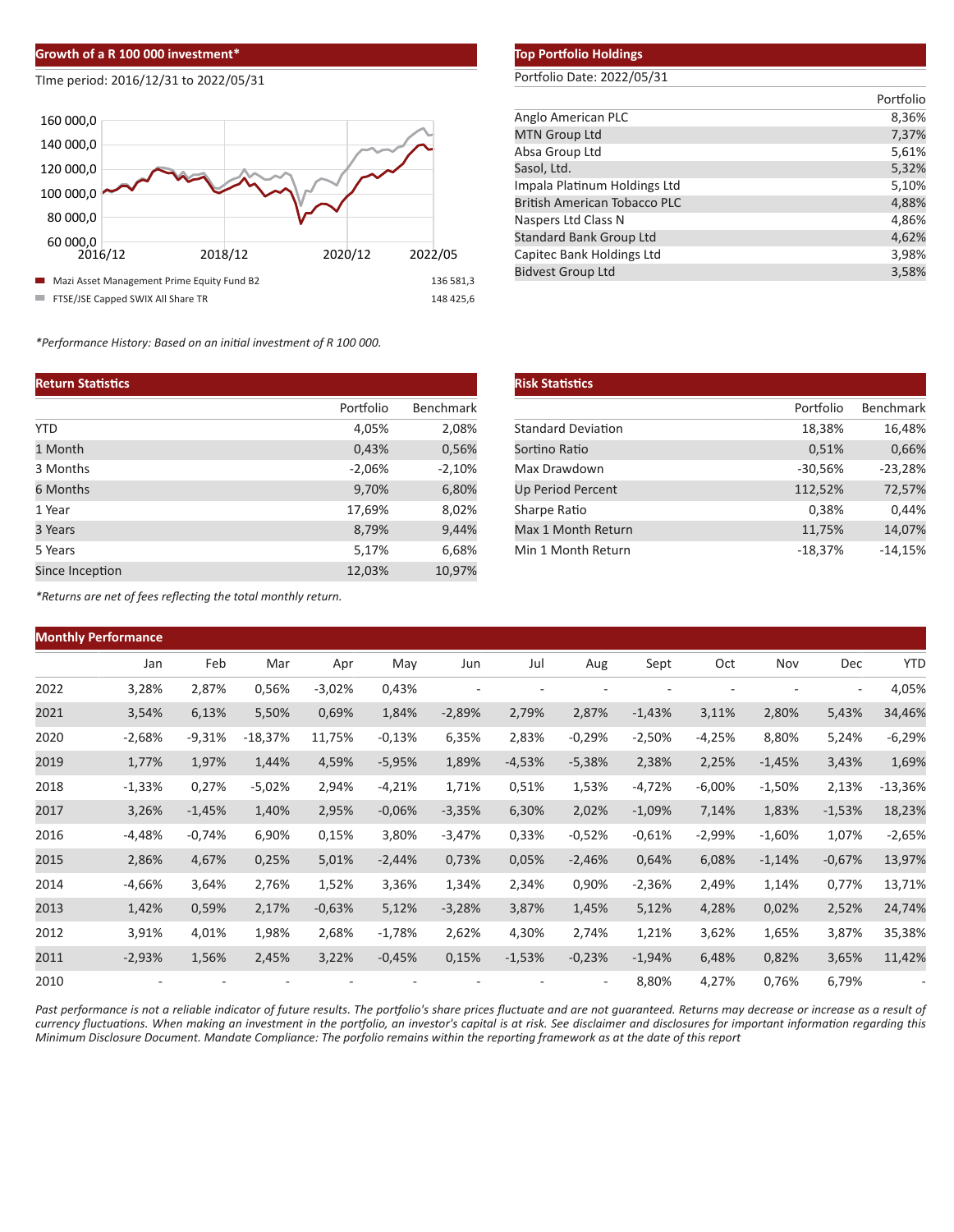### **Growth of a R 100 000 investment\***

#### TIme period: 2016/12/31 to 2022/05/31



*\*Performance History: Based on an initial investment of R 100 000.*

#### **Return Statistics**

|                 | Portfolio | <b>Benchmark</b> |
|-----------------|-----------|------------------|
| <b>YTD</b>      | 4,05%     | 2,08%            |
| 1 Month         | 0,43%     | 0,56%            |
| 3 Months        | $-2,06%$  | $-2,10%$         |
| 6 Months        | 9,70%     | 6,80%            |
| 1 Year          | 17,69%    | 8,02%            |
| 3 Years         | 8,79%     | 9,44%            |
| 5 Years         | 5,17%     | 6,68%            |
| Since Inception | 12,03%    | 10,97%           |

## **Top Portfolio Holdings**

## Portfolio Date: 2022/05/31

|                                     | Portfolio |
|-------------------------------------|-----------|
| Anglo American PLC                  | 8,36%     |
| <b>MTN Group Ltd</b>                | 7,37%     |
| Absa Group Ltd                      | 5,61%     |
| Sasol, Ltd.                         | 5,32%     |
| Impala Platinum Holdings Ltd        | 5,10%     |
| <b>British American Tobacco PLC</b> | 4,88%     |
| Naspers Ltd Class N                 | 4,86%     |
| <b>Standard Bank Group Ltd</b>      | 4,62%     |
| Capitec Bank Holdings Ltd           | 3,98%     |
| <b>Bidvest Group Ltd</b>            | 3,58%     |

| <b>Risk Statistics</b>    |           |           |
|---------------------------|-----------|-----------|
|                           | Portfolio | Benchmark |
| <b>Standard Deviation</b> | 18,38%    | 16,48%    |
| Sortino Ratio             | 0,51%     | 0,66%     |
| Max Drawdown              | $-30,56%$ | $-23,28%$ |
| <b>Up Period Percent</b>  | 112,52%   | 72,57%    |
| Sharpe Ratio              | 0,38%     | 0,44%     |
| Max 1 Month Return        | 11,75%    | 14,07%    |
| Min 1 Month Return        | $-18,37%$ | $-14,15%$ |

*\*Returns are net of fees reflecting the total monthly return.*

| <b>Monthly Performance</b> |          |          |                          |          |          |          |          |                          |          |          |          |                          |            |
|----------------------------|----------|----------|--------------------------|----------|----------|----------|----------|--------------------------|----------|----------|----------|--------------------------|------------|
|                            | Jan      | Feb      | Mar                      | Apr      | May      | Jun      | Jul      | Aug                      | Sept     | Oct      | Nov      | Dec                      | <b>YTC</b> |
| 2022                       | 3,28%    | 2,87%    | 0,56%                    | $-3,02%$ | 0,43%    | ٠        |          | ٠                        |          |          |          | $\overline{\phantom{a}}$ | 4,05%      |
| 2021                       | 3,54%    | 6,13%    | 5,50%                    | 0,69%    | 1,84%    | $-2,89%$ | 2,79%    | 2,87%                    | $-1,43%$ | 3,11%    | 2,80%    | 5,43%                    | 34,46%     |
| 2020                       | $-2,68%$ | $-9,31%$ | $-18,37%$                | 11,75%   | $-0,13%$ | 6,35%    | 2,83%    | $-0,29%$                 | $-2,50%$ | $-4,25%$ | 8,80%    | 5,24%                    | $-6,29%$   |
| 2019                       | 1,77%    | 1,97%    | 1,44%                    | 4,59%    | $-5,95%$ | 1,89%    | $-4,53%$ | $-5,38%$                 | 2,38%    | 2,25%    | $-1,45%$ | 3,43%                    | 1,69%      |
| 2018                       | $-1,33%$ | 0,27%    | $-5,02%$                 | 2,94%    | $-4,21%$ | 1,71%    | 0,51%    | 1,53%                    | $-4,72%$ | $-6,00%$ | $-1,50%$ | 2,13%                    | $-13,36%$  |
| 2017                       | 3,26%    | $-1,45%$ | 1,40%                    | 2,95%    | $-0,06%$ | $-3,35%$ | 6,30%    | 2,02%                    | $-1,09%$ | 7,14%    | 1,83%    | $-1,53%$                 | 18,23%     |
| 2016                       | $-4,48%$ | $-0,74%$ | 6,90%                    | 0,15%    | 3,80%    | $-3,47%$ | 0,33%    | $-0,52%$                 | $-0,61%$ | $-2,99%$ | $-1,60%$ | 1,07%                    | $-2,65%$   |
| 2015                       | 2,86%    | 4,67%    | 0,25%                    | 5,01%    | $-2,44%$ | 0,73%    | 0,05%    | $-2,46%$                 | 0,64%    | 6,08%    | $-1,14%$ | $-0,67%$                 | 13,97%     |
| 2014                       | $-4,66%$ | 3,64%    | 2,76%                    | 1,52%    | 3,36%    | 1,34%    | 2,34%    | 0,90%                    | $-2,36%$ | 2,49%    | 1,14%    | 0,77%                    | 13,71%     |
| 2013                       | 1,42%    | 0,59%    | 2,17%                    | $-0,63%$ | 5,12%    | $-3,28%$ | 3,87%    | 1,45%                    | 5,12%    | 4,28%    | 0,02%    | 2,52%                    | 24,74%     |
| 2012                       | 3,91%    | 4,01%    | 1,98%                    | 2,68%    | $-1,78%$ | 2,62%    | 4,30%    | 2,74%                    | 1,21%    | 3,62%    | 1,65%    | 3,87%                    | 35,38%     |
| 2011                       | $-2,93%$ | 1,56%    | 2,45%                    | 3,22%    | $-0,45%$ | 0,15%    | $-1,53%$ | $-0,23%$                 | $-1,94%$ | 6,48%    | 0,82%    | 3,65%                    | 11,42%     |
| 2010                       | ٠        |          | $\overline{\phantom{0}}$ |          |          |          |          | $\overline{\phantom{0}}$ | 8,80%    | 4,27%    | 0,76%    | 6,79%                    |            |

*Past performance is not a reliable indicator of future results. The portfolio's share prices fluctuate and are not guaranteed. Returns may decrease or increase as a result of currency fluctuations. When making an investment in the portfolio, an investor's capital is at risk. See disclaimer and disclosures for important information regarding this Minimum Disclosure Document. Mandate Compliance: The porfolio remains within the reporting framework as at the date of this report*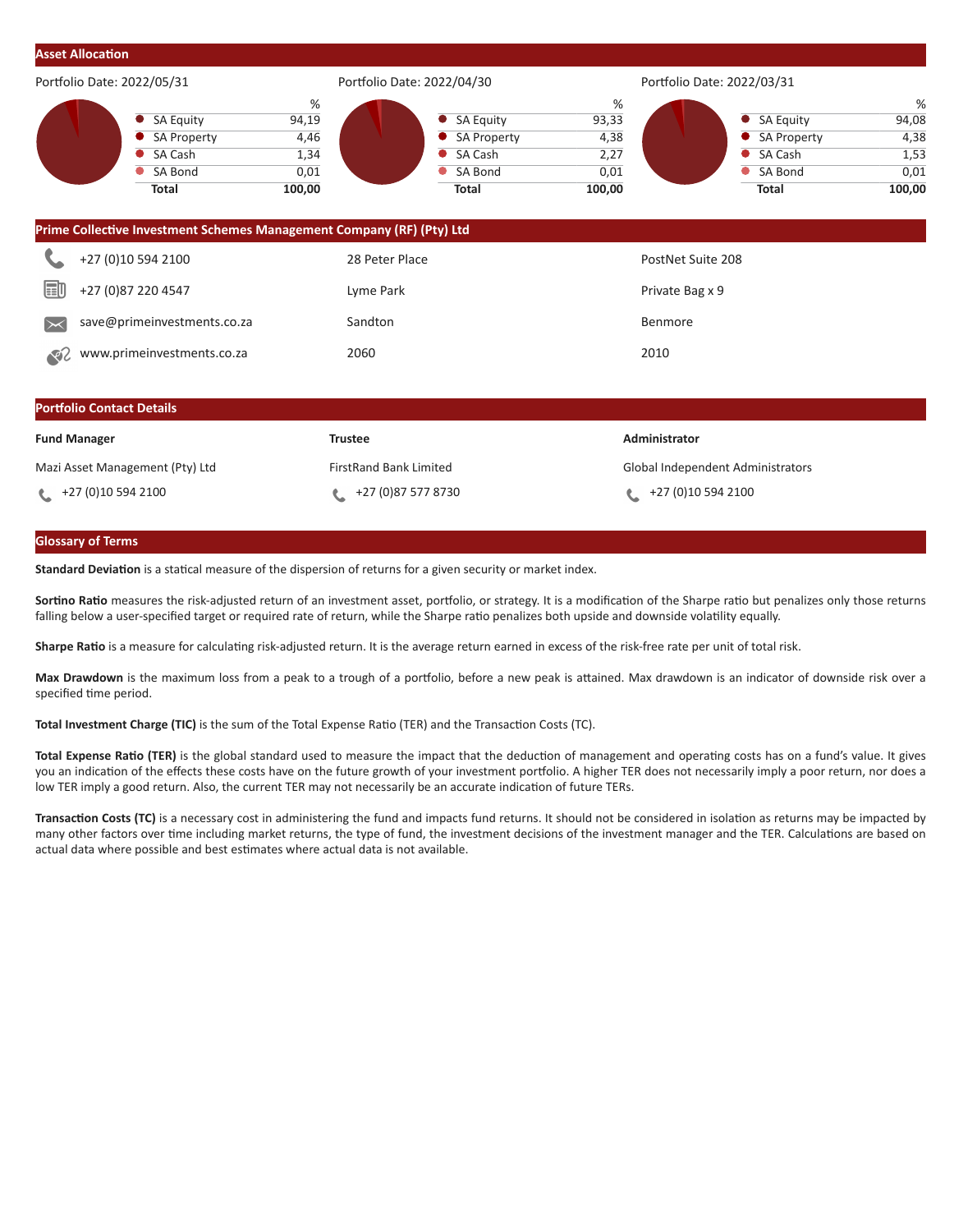| <b>Asset Allocation</b>                       |                                                                                                                                                       |                                                 |                                                                                                         |                                              |                                                                              |                                              |  |  |
|-----------------------------------------------|-------------------------------------------------------------------------------------------------------------------------------------------------------|-------------------------------------------------|---------------------------------------------------------------------------------------------------------|----------------------------------------------|------------------------------------------------------------------------------|----------------------------------------------|--|--|
| Portfolio Date: 2022/05/31                    |                                                                                                                                                       |                                                 | Portfolio Date: 2022/04/30                                                                              |                                              | Portfolio Date: 2022/03/31                                                   |                                              |  |  |
|                                               | <b>SA Equity</b><br><b>SA Property</b><br>SA Cash<br>SA Bond<br><b>Total</b><br>Prime Collective Investment Schemes Management Company (RF) (Pty) Ltd | $\%$<br>94,19<br>4,46<br>1,34<br>0,01<br>100,00 | <b>SA Equity</b><br><b>SA Property</b><br><b>SA Cash</b><br>$\bullet$<br><b>SA Bond</b><br><b>Total</b> | %<br>93,33<br>4,38<br>2,27<br>0,01<br>100,00 | <b>SA Equity</b><br><b>SA Property</b><br>SA Cash<br>SA Bond<br><b>Total</b> | %<br>94,08<br>4,38<br>1,53<br>0,01<br>100,00 |  |  |
|                                               | +27 (0)10 594 2100                                                                                                                                    |                                                 | 28 Peter Place                                                                                          |                                              | PostNet Suite 208                                                            |                                              |  |  |
| 国<br>+27 (0) 87 220 4547                      |                                                                                                                                                       | Lyme Park                                       |                                                                                                         |                                              | Private Bag x 9                                                              |                                              |  |  |
| save@primeinvestments.co.za<br>$\Join$        |                                                                                                                                                       | Sandton                                         |                                                                                                         |                                              | Benmore                                                                      |                                              |  |  |
| www.primeinvestments.co.za<br>$\mathcal{S}^2$ |                                                                                                                                                       | 2060                                            |                                                                                                         | 2010                                         |                                                                              |                                              |  |  |
|                                               | <b>Portfolio Contact Details</b>                                                                                                                      |                                                 |                                                                                                         |                                              |                                                                              |                                              |  |  |
| <b>Fund Manager</b>                           |                                                                                                                                                       | <b>Trustee</b>                                  |                                                                                                         | Administrator                                |                                                                              |                                              |  |  |
|                                               | Mazi Asset Management (Pty) Ltd                                                                                                                       |                                                 | <b>FirstRand Bank Limited</b>                                                                           |                                              | Global Independent Administrators                                            |                                              |  |  |
| +27 (0)10 594 2100                            |                                                                                                                                                       | L                                               | +27 (0) 87 577 8730                                                                                     | L                                            | +27 (0)10 594 2100                                                           |                                              |  |  |

## **Glossary of Terms**

**Standard Deviation** is a statical measure of the dispersion of returns for a given security or market index.

**Sortino Ratio** measures the risk-adjusted return of an investment asset, portfolio, or strategy. It is a modification of the Sharpe ratio but penalizes only those returns falling below a user-specified target or required rate of return, while the Sharpe ratio penalizes both upside and downside volatility equally.

**Sharpe Ratio** is a measure for calculating risk-adjusted return. It is the average return earned in excess of the risk-free rate per unit of total risk.

**Max Drawdown** is the maximum loss from a peak to a trough of a portfolio, before a new peak is attained. Max drawdown is an indicator of downside risk over a specified time period.

**Total Investment Charge (TIC)** is the sum of the Total Expense Ratio (TER) and the Transaction Costs (TC).

**Total Expense Ratio (TER)** is the global standard used to measure the impact that the deduction of management and operating costs has on a fund's value. It gives you an indication of the effects these costs have on the future growth of your investment portfolio. A higher TER does not necessarily imply a poor return, nor does a low TER imply a good return. Also, the current TER may not necessarily be an accurate indication of future TERs.

**Transaction Costs (TC)** is a necessary cost in administering the fund and impacts fund returns. It should not be considered in isolation as returns may be impacted by many other factors over time including market returns, the type of fund, the investment decisions of the investment manager and the TER. Calculations are based on actual data where possible and best estimates where actual data is not available.